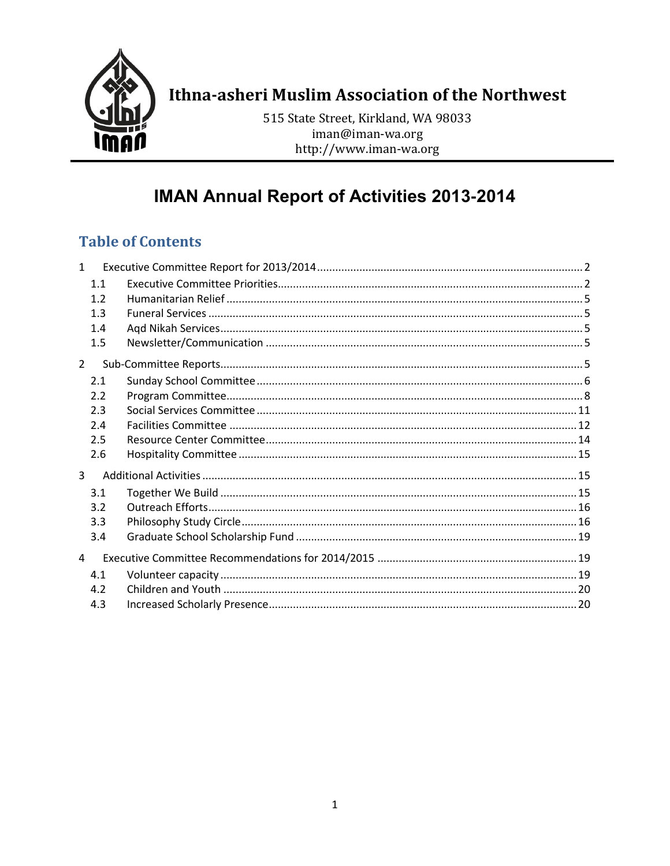

# Ithna-asheri Muslim Association of the Northwest

515 State Street, Kirkland, WA 98033 iman@iman-wa.org http://www.iman-wa.org

# **IMAN Annual Report of Activities 2013-2014**

# **Table of Contents**

| $\mathbf{1}$   |     |  |
|----------------|-----|--|
|                | 1.1 |  |
|                | 1.2 |  |
|                | 1.3 |  |
|                | 1.4 |  |
|                | 1.5 |  |
| $\overline{2}$ |     |  |
|                | 2.1 |  |
|                | 2.2 |  |
|                | 2.3 |  |
|                | 2.4 |  |
|                | 2.5 |  |
|                | 2.6 |  |
| 3              |     |  |
|                | 3.1 |  |
|                | 3.2 |  |
|                | 3.3 |  |
|                | 3.4 |  |
| $\overline{4}$ |     |  |
|                | 4.1 |  |
|                | 4.2 |  |
|                | 4.3 |  |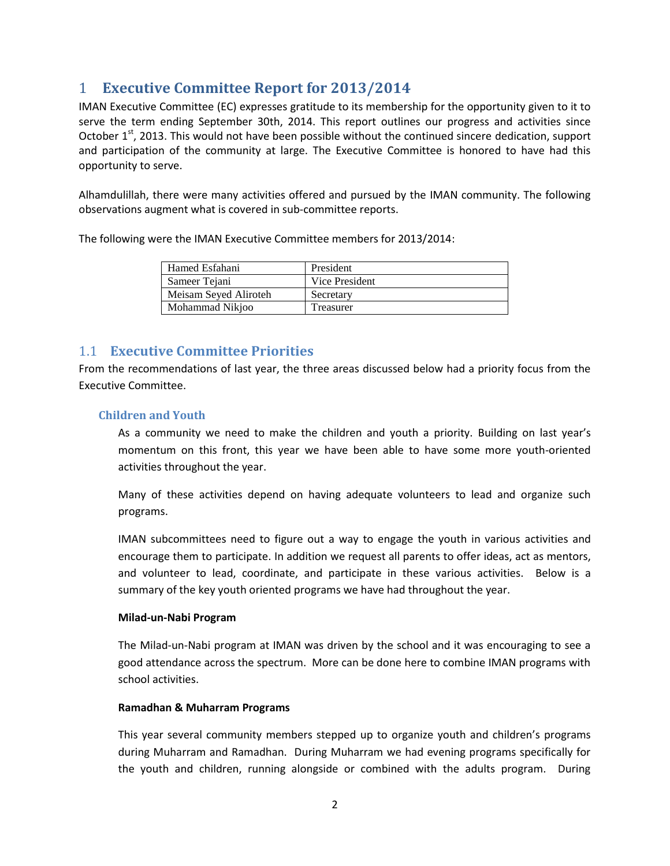# <span id="page-1-0"></span>1 **Executive Committee Report for 2013/2014**

IMAN Executive Committee (EC) expresses gratitude to its membership for the opportunity given to it to serve the term ending September 30th, 2014. This report outlines our progress and activities since October 1<sup>st</sup>, 2013. This would not have been possible without the continued sincere dedication, support and participation of the community at large. The Executive Committee is honored to have had this opportunity to serve.

Alhamdulillah, there were many activities offered and pursued by the IMAN community. The following observations augment what is covered in sub-committee reports.

The following were the IMAN Executive Committee members for 2013/2014:

| Hamed Esfahani        | President      |
|-----------------------|----------------|
| Sameer Tejani         | Vice President |
| Meisam Seyed Aliroteh | Secretary      |
| Mohammad Nikioo       | Treasurer      |

## <span id="page-1-1"></span>1.1 **Executive Committee Priorities**

From the recommendations of last year, the three areas discussed below had a priority focus from the Executive Committee.

#### **Children and Youth**

As a community we need to make the children and youth a priority. Building on last year's momentum on this front, this year we have been able to have some more youth-oriented activities throughout the year.

Many of these activities depend on having adequate volunteers to lead and organize such programs.

IMAN subcommittees need to figure out a way to engage the youth in various activities and encourage them to participate. In addition we request all parents to offer ideas, act as mentors, and volunteer to lead, coordinate, and participate in these various activities. Below is a summary of the key youth oriented programs we have had throughout the year.

#### **Milad-un-Nabi Program**

The Milad-un-Nabi program at IMAN was driven by the school and it was encouraging to see a good attendance across the spectrum. More can be done here to combine IMAN programs with school activities.

#### **Ramadhan & Muharram Programs**

This year several community members stepped up to organize youth and children's programs during Muharram and Ramadhan. During Muharram we had evening programs specifically for the youth and children, running alongside or combined with the adults program. During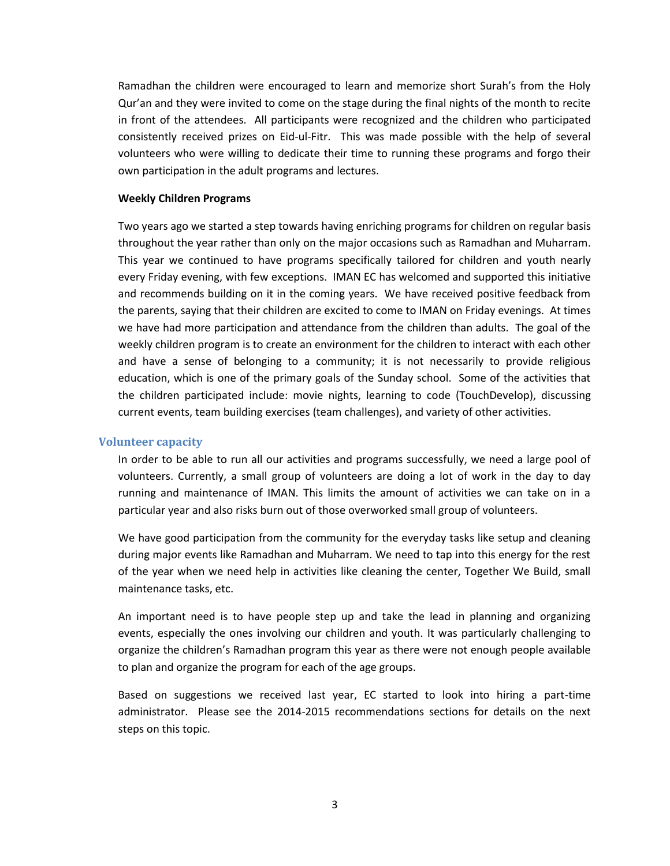Ramadhan the children were encouraged to learn and memorize short Surah's from the Holy Qur'an and they were invited to come on the stage during the final nights of the month to recite in front of the attendees. All participants were recognized and the children who participated consistently received prizes on Eid-ul-Fitr. This was made possible with the help of several volunteers who were willing to dedicate their time to running these programs and forgo their own participation in the adult programs and lectures.

#### **Weekly Children Programs**

Two years ago we started a step towards having enriching programs for children on regular basis throughout the year rather than only on the major occasions such as Ramadhan and Muharram. This year we continued to have programs specifically tailored for children and youth nearly every Friday evening, with few exceptions. IMAN EC has welcomed and supported this initiative and recommends building on it in the coming years. We have received positive feedback from the parents, saying that their children are excited to come to IMAN on Friday evenings. At times we have had more participation and attendance from the children than adults. The goal of the weekly children program is to create an environment for the children to interact with each other and have a sense of belonging to a community; it is not necessarily to provide religious education, which is one of the primary goals of the Sunday school. Some of the activities that the children participated include: movie nights, learning to code (TouchDevelop), discussing current events, team building exercises (team challenges), and variety of other activities.

#### **Volunteer capacity**

In order to be able to run all our activities and programs successfully, we need a large pool of volunteers. Currently, a small group of volunteers are doing a lot of work in the day to day running and maintenance of IMAN. This limits the amount of activities we can take on in a particular year and also risks burn out of those overworked small group of volunteers.

We have good participation from the community for the everyday tasks like setup and cleaning during major events like Ramadhan and Muharram. We need to tap into this energy for the rest of the year when we need help in activities like cleaning the center, Together We Build, small maintenance tasks, etc.

An important need is to have people step up and take the lead in planning and organizing events, especially the ones involving our children and youth. It was particularly challenging to organize the children's Ramadhan program this year as there were not enough people available to plan and organize the program for each of the age groups.

Based on suggestions we received last year, EC started to look into hiring a part-time administrator. Please see the 2014-2015 recommendations sections for details on the next steps on this topic.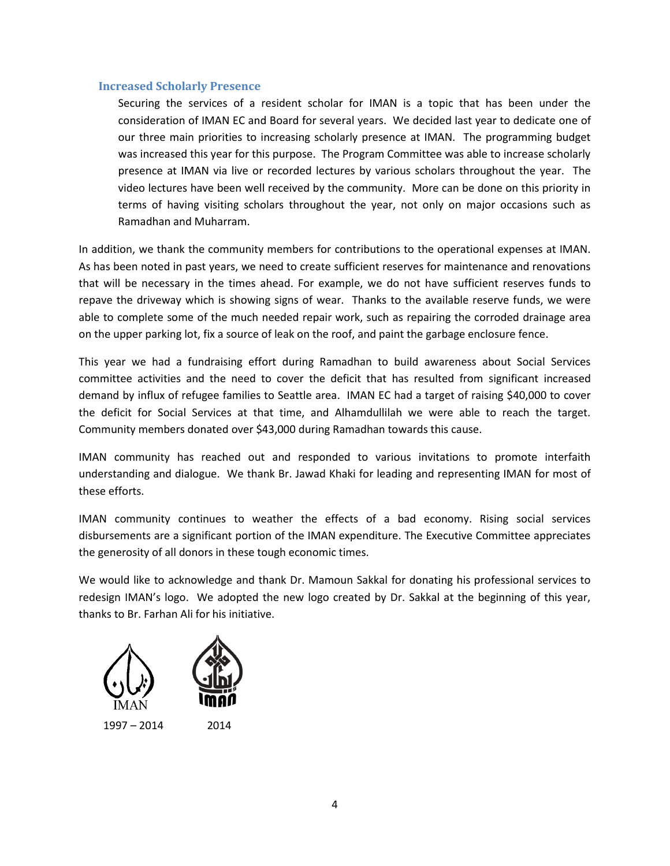#### **Increased Scholarly Presence**

Securing the services of a resident scholar for IMAN is a topic that has been under the consideration of IMAN EC and Board for several years. We decided last year to dedicate one of our three main priorities to increasing scholarly presence at IMAN. The programming budget was increased this year for this purpose. The Program Committee was able to increase scholarly presence at IMAN via live or recorded lectures by various scholars throughout the year. The video lectures have been well received by the community. More can be done on this priority in terms of having visiting scholars throughout the year, not only on major occasions such as Ramadhan and Muharram.

In addition, we thank the community members for contributions to the operational expenses at IMAN. As has been noted in past years, we need to create sufficient reserves for maintenance and renovations that will be necessary in the times ahead. For example, we do not have sufficient reserves funds to repave the driveway which is showing signs of wear. Thanks to the available reserve funds, we were able to complete some of the much needed repair work, such as repairing the corroded drainage area on the upper parking lot, fix a source of leak on the roof, and paint the garbage enclosure fence.

This year we had a fundraising effort during Ramadhan to build awareness about Social Services committee activities and the need to cover the deficit that has resulted from significant increased demand by influx of refugee families to Seattle area. IMAN EC had a target of raising \$40,000 to cover the deficit for Social Services at that time, and Alhamdullilah we were able to reach the target. Community members donated over \$43,000 during Ramadhan towards this cause.

IMAN community has reached out and responded to various invitations to promote interfaith understanding and dialogue. We thank Br. Jawad Khaki for leading and representing IMAN for most of these efforts.

IMAN community continues to weather the effects of a bad economy. Rising social services disbursements are a significant portion of the IMAN expenditure. The Executive Committee appreciates the generosity of all donors in these tough economic times.

We would like to acknowledge and thank Dr. Mamoun Sakkal for donating his professional services to redesign IMAN's logo. We adopted the new logo created by Dr. Sakkal at the beginning of this year, thanks to Br. Farhan Ali for his initiative.

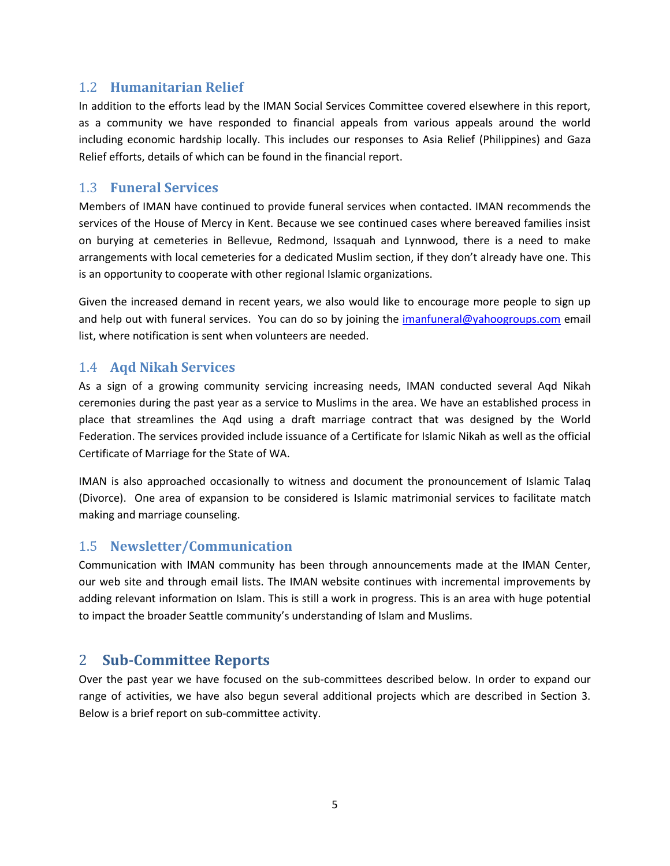### <span id="page-4-0"></span>1.2 **Humanitarian Relief**

In addition to the efforts lead by the IMAN Social Services Committee covered elsewhere in this report, as a community we have responded to financial appeals from various appeals around the world including economic hardship locally. This includes our responses to Asia Relief (Philippines) and Gaza Relief efforts, details of which can be found in the financial report.

### <span id="page-4-1"></span>1.3 **Funeral Services**

Members of IMAN have continued to provide funeral services when contacted. IMAN recommends the services of the House of Mercy in Kent. Because we see continued cases where bereaved families insist on burying at cemeteries in Bellevue, Redmond, Issaquah and Lynnwood, there is a need to make arrangements with local cemeteries for a dedicated Muslim section, if they don't already have one. This is an opportunity to cooperate with other regional Islamic organizations.

Given the increased demand in recent years, we also would like to encourage more people to sign up and help out with funeral services. You can do so by joining the *imanfuneral@yahoogroups.com* email list, where notification is sent when volunteers are needed.

### <span id="page-4-2"></span>1.4 **Aqd Nikah Services**

As a sign of a growing community servicing increasing needs, IMAN conducted several Aqd Nikah ceremonies during the past year as a service to Muslims in the area. We have an established process in place that streamlines the Aqd using a draft marriage contract that was designed by the World Federation. The services provided include issuance of a Certificate for Islamic Nikah as well as the official Certificate of Marriage for the State of WA.

IMAN is also approached occasionally to witness and document the pronouncement of Islamic Talaq (Divorce). One area of expansion to be considered is Islamic matrimonial services to facilitate match making and marriage counseling.

## <span id="page-4-3"></span>1.5 **Newsletter/Communication**

Communication with IMAN community has been through announcements made at the IMAN Center, our web site and through email lists. The IMAN website continues with incremental improvements by adding relevant information on Islam. This is still a work in progress. This is an area with huge potential to impact the broader Seattle community's understanding of Islam and Muslims.

## <span id="page-4-4"></span>2 **Sub-Committee Reports**

Over the past year we have focused on the sub-committees described below. In order to expand our range of activities, we have also begun several additional projects which are described in Section 3. Below is a brief report on sub-committee activity.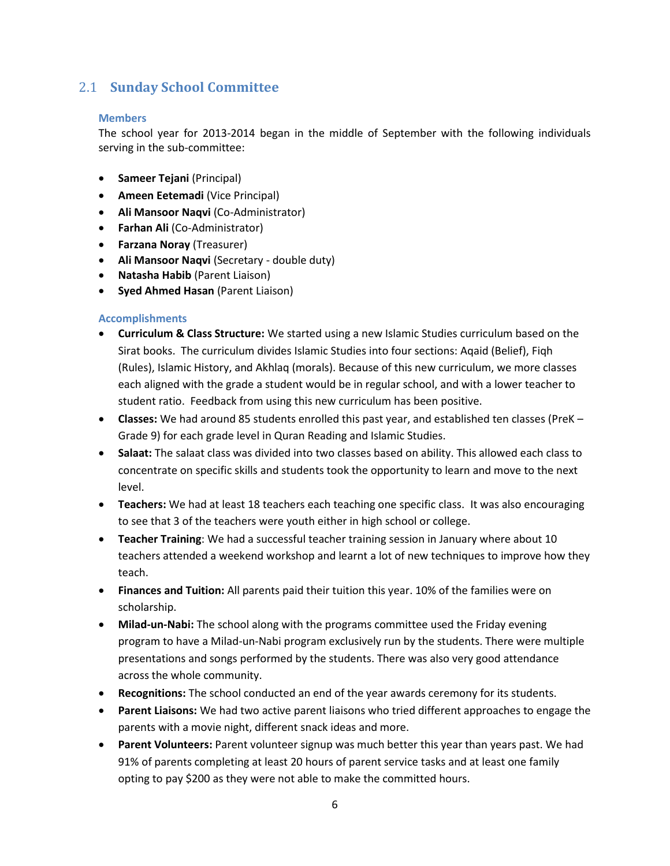# <span id="page-5-0"></span>2.1 **Sunday School Committee**

#### **Members**

The school year for 2013-2014 began in the middle of September with the following individuals serving in the sub-committee:

- **Sameer Tejani** (Principal)
- **Ameen Eetemadi (Vice Principal)**
- **Ali Mansoor Naqvi** (Co-Administrator)
- **Farhan Ali** (Co-Administrator)
- **Farzana Noray** (Treasurer)
- **Ali Mansoor Naqvi** (Secretary double duty)
- **Natasha Habib** (Parent Liaison)
- **Syed Ahmed Hasan** (Parent Liaison)

#### **Accomplishments**

- **Curriculum & Class Structure:** We started using a new Islamic Studies curriculum based on the Sirat books. The curriculum divides Islamic Studies into four sections: Aqaid (Belief), Fiqh (Rules), Islamic History, and Akhlaq (morals). Because of this new curriculum, we more classes each aligned with the grade a student would be in regular school, and with a lower teacher to student ratio. Feedback from using this new curriculum has been positive.
- **Classes:** We had around 85 students enrolled this past year, and established ten classes (PreK Grade 9) for each grade level in Quran Reading and Islamic Studies.
- **Salaat:** The salaat class was divided into two classes based on ability. This allowed each class to concentrate on specific skills and students took the opportunity to learn and move to the next level.
- **Teachers:** We had at least 18 teachers each teaching one specific class. It was also encouraging to see that 3 of the teachers were youth either in high school or college.
- **Teacher Training**: We had a successful teacher training session in January where about 10 teachers attended a weekend workshop and learnt a lot of new techniques to improve how they teach.
- **Finances and Tuition:** All parents paid their tuition this year. 10% of the families were on scholarship.
- **Milad-un-Nabi:** The school along with the programs committee used the Friday evening program to have a Milad-un-Nabi program exclusively run by the students. There were multiple presentations and songs performed by the students. There was also very good attendance across the whole community.
- **Recognitions:** The school conducted an end of the year awards ceremony for its students.
- **Parent Liaisons:** We had two active parent liaisons who tried different approaches to engage the parents with a movie night, different snack ideas and more.
- **Parent Volunteers:** Parent volunteer signup was much better this year than years past. We had 91% of parents completing at least 20 hours of parent service tasks and at least one family opting to pay \$200 as they were not able to make the committed hours.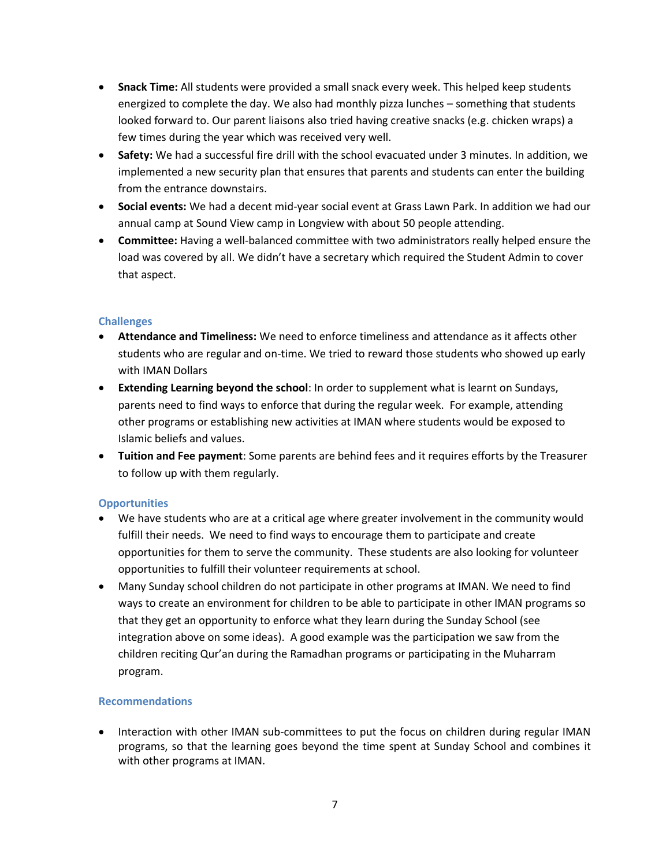- **Snack Time:** All students were provided a small snack every week. This helped keep students energized to complete the day. We also had monthly pizza lunches – something that students looked forward to. Our parent liaisons also tried having creative snacks (e.g. chicken wraps) a few times during the year which was received very well.
- **Safety:** We had a successful fire drill with the school evacuated under 3 minutes. In addition, we implemented a new security plan that ensures that parents and students can enter the building from the entrance downstairs.
- **Social events:** We had a decent mid-year social event at Grass Lawn Park. In addition we had our annual camp at Sound View camp in Longview with about 50 people attending.
- **Committee:** Having a well-balanced committee with two administrators really helped ensure the load was covered by all. We didn't have a secretary which required the Student Admin to cover that aspect.

- **Attendance and Timeliness:** We need to enforce timeliness and attendance as it affects other students who are regular and on-time. We tried to reward those students who showed up early with IMAN Dollars
- **Extending Learning beyond the school**: In order to supplement what is learnt on Sundays, parents need to find ways to enforce that during the regular week. For example, attending other programs or establishing new activities at IMAN where students would be exposed to Islamic beliefs and values.
- **Tuition and Fee payment**: Some parents are behind fees and it requires efforts by the Treasurer to follow up with them regularly.

#### **Opportunities**

- We have students who are at a critical age where greater involvement in the community would fulfill their needs. We need to find ways to encourage them to participate and create opportunities for them to serve the community. These students are also looking for volunteer opportunities to fulfill their volunteer requirements at school.
- Many Sunday school children do not participate in other programs at IMAN. We need to find ways to create an environment for children to be able to participate in other IMAN programs so that they get an opportunity to enforce what they learn during the Sunday School (see integration above on some ideas). A good example was the participation we saw from the children reciting Qur'an during the Ramadhan programs or participating in the Muharram program.

#### **Recommendations**

• Interaction with other IMAN sub-committees to put the focus on children during regular IMAN programs, so that the learning goes beyond the time spent at Sunday School and combines it with other programs at IMAN.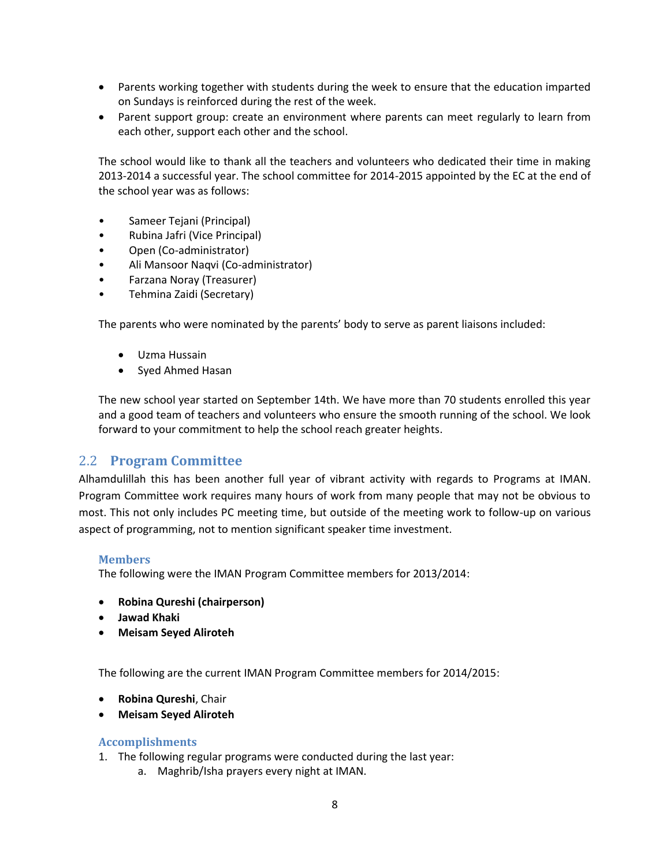- Parents working together with students during the week to ensure that the education imparted on Sundays is reinforced during the rest of the week.
- Parent support group: create an environment where parents can meet regularly to learn from each other, support each other and the school.

The school would like to thank all the teachers and volunteers who dedicated their time in making 2013-2014 a successful year. The school committee for 2014-2015 appointed by the EC at the end of the school year was as follows:

- Sameer Tejani (Principal)
- Rubina Jafri (Vice Principal)
- Open (Co-administrator)
- Ali Mansoor Naqvi (Co-administrator)
- Farzana Noray (Treasurer)
- Tehmina Zaidi (Secretary)

The parents who were nominated by the parents' body to serve as parent liaisons included:

- Uzma Hussain
- Syed Ahmed Hasan

The new school year started on September 14th. We have more than 70 students enrolled this year and a good team of teachers and volunteers who ensure the smooth running of the school. We look forward to your commitment to help the school reach greater heights.

#### <span id="page-7-0"></span>2.2 **Program Committee**

Alhamdulillah this has been another full year of vibrant activity with regards to Programs at IMAN. Program Committee work requires many hours of work from many people that may not be obvious to most. This not only includes PC meeting time, but outside of the meeting work to follow-up on various aspect of programming, not to mention significant speaker time investment.

#### **Members**

The following were the IMAN Program Committee members for 2013/2014:

- **Robina Qureshi (chairperson)**
- **Jawad Khaki**
- **Meisam Seyed Aliroteh**

The following are the current IMAN Program Committee members for 2014/2015:

- **Robina Qureshi**, Chair
- **Meisam Seyed Aliroteh**

#### **Accomplishments**

- 1. The following regular programs were conducted during the last year:
	- a. Maghrib/Isha prayers every night at IMAN.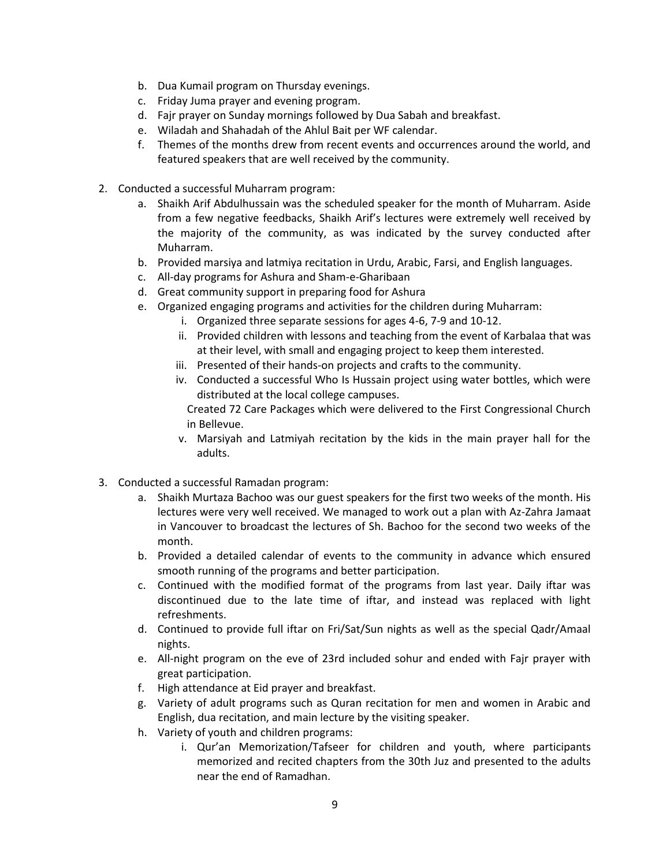- b. Dua Kumail program on Thursday evenings.
- c. Friday Juma prayer and evening program.
- d. Fajr prayer on Sunday mornings followed by Dua Sabah and breakfast.
- e. Wiladah and Shahadah of the Ahlul Bait per WF calendar.
- f. Themes of the months drew from recent events and occurrences around the world, and featured speakers that are well received by the community.
- 2. Conducted a successful Muharram program:
	- a. Shaikh Arif Abdulhussain was the scheduled speaker for the month of Muharram. Aside from a few negative feedbacks, Shaikh Arif's lectures were extremely well received by the majority of the community, as was indicated by the survey conducted after Muharram.
	- b. Provided marsiya and latmiya recitation in Urdu, Arabic, Farsi, and English languages.
	- c. All-day programs for Ashura and Sham-e-Gharibaan
	- d. Great community support in preparing food for Ashura
	- e. Organized engaging programs and activities for the children during Muharram:
		- i. Organized three separate sessions for ages 4-6, 7-9 and 10-12.
		- ii. Provided children with lessons and teaching from the event of Karbalaa that was at their level, with small and engaging project to keep them interested.
		- iii. Presented of their hands-on projects and crafts to the community.
		- iv. Conducted a successful Who Is Hussain project using water bottles, which were distributed at the local college campuses.

Created 72 Care Packages which were delivered to the First Congressional Church in Bellevue.

- v. Marsiyah and Latmiyah recitation by the kids in the main prayer hall for the adults.
- 3. Conducted a successful Ramadan program:
	- a. Shaikh Murtaza Bachoo was our guest speakers for the first two weeks of the month. His lectures were very well received. We managed to work out a plan with Az-Zahra Jamaat in Vancouver to broadcast the lectures of Sh. Bachoo for the second two weeks of the month.
	- b. Provided a detailed calendar of events to the community in advance which ensured smooth running of the programs and better participation.
	- c. Continued with the modified format of the programs from last year. Daily iftar was discontinued due to the late time of iftar, and instead was replaced with light refreshments.
	- d. Continued to provide full iftar on Fri/Sat/Sun nights as well as the special Qadr/Amaal nights.
	- e. All-night program on the eve of 23rd included sohur and ended with Fajr prayer with great participation.
	- f. High attendance at Eid prayer and breakfast.
	- g. Variety of adult programs such as Quran recitation for men and women in Arabic and English, dua recitation, and main lecture by the visiting speaker.
	- h. Variety of youth and children programs:
		- i. Qur'an Memorization/Tafseer for children and youth, where participants memorized and recited chapters from the 30th Juz and presented to the adults near the end of Ramadhan.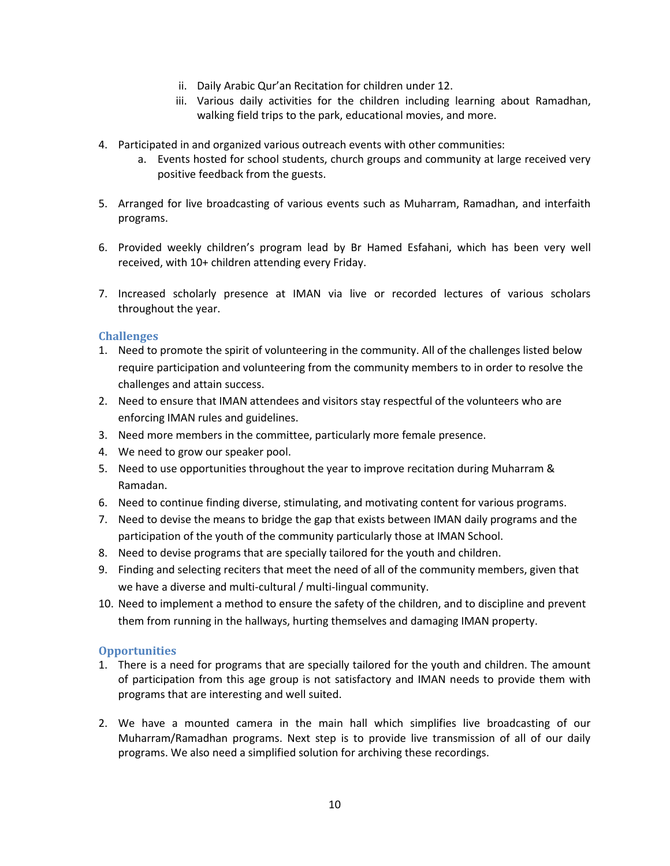- ii. Daily Arabic Qur'an Recitation for children under 12.
- iii. Various daily activities for the children including learning about Ramadhan, walking field trips to the park, educational movies, and more.
- 4. Participated in and organized various outreach events with other communities:
	- a. Events hosted for school students, church groups and community at large received very positive feedback from the guests.
- 5. Arranged for live broadcasting of various events such as Muharram, Ramadhan, and interfaith programs.
- 6. Provided weekly children's program lead by Br Hamed Esfahani, which has been very well received, with 10+ children attending every Friday.
- 7. Increased scholarly presence at IMAN via live or recorded lectures of various scholars throughout the year.

- 1. Need to promote the spirit of volunteering in the community. All of the challenges listed below require participation and volunteering from the community members to in order to resolve the challenges and attain success.
- 2. Need to ensure that IMAN attendees and visitors stay respectful of the volunteers who are enforcing IMAN rules and guidelines.
- 3. Need more members in the committee, particularly more female presence.
- 4. We need to grow our speaker pool.
- 5. Need to use opportunities throughout the year to improve recitation during Muharram & Ramadan.
- 6. Need to continue finding diverse, stimulating, and motivating content for various programs.
- 7. Need to devise the means to bridge the gap that exists between IMAN daily programs and the participation of the youth of the community particularly those at IMAN School.
- 8. Need to devise programs that are specially tailored for the youth and children.
- 9. Finding and selecting reciters that meet the need of all of the community members, given that we have a diverse and multi-cultural / multi-lingual community.
- 10. Need to implement a method to ensure the safety of the children, and to discipline and prevent them from running in the hallways, hurting themselves and damaging IMAN property.

#### **Opportunities**

- 1. There is a need for programs that are specially tailored for the youth and children. The amount of participation from this age group is not satisfactory and IMAN needs to provide them with programs that are interesting and well suited.
- 2. We have a mounted camera in the main hall which simplifies live broadcasting of our Muharram/Ramadhan programs. Next step is to provide live transmission of all of our daily programs. We also need a simplified solution for archiving these recordings.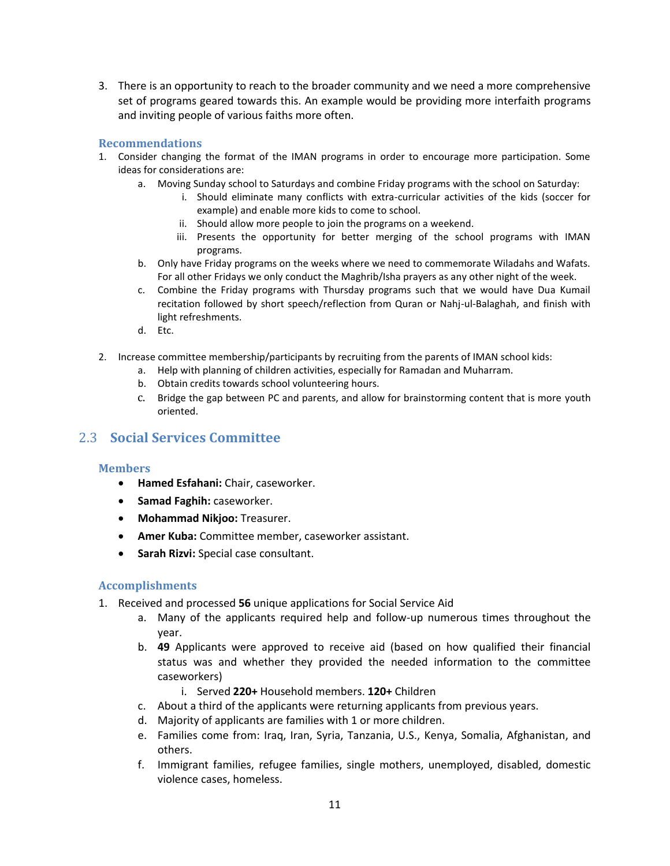3. There is an opportunity to reach to the broader community and we need a more comprehensive set of programs geared towards this. An example would be providing more interfaith programs and inviting people of various faiths more often.

#### **Recommendations**

- 1. Consider changing the format of the IMAN programs in order to encourage more participation. Some ideas for considerations are:
	- a. Moving Sunday school to Saturdays and combine Friday programs with the school on Saturday:
		- i. Should eliminate many conflicts with extra-curricular activities of the kids (soccer for example) and enable more kids to come to school.
		- ii. Should allow more people to join the programs on a weekend.
		- iii. Presents the opportunity for better merging of the school programs with IMAN programs.
	- b. Only have Friday programs on the weeks where we need to commemorate Wiladahs and Wafats. For all other Fridays we only conduct the Maghrib/Isha prayers as any other night of the week.
	- c. Combine the Friday programs with Thursday programs such that we would have Dua Kumail recitation followed by short speech/reflection from Quran or Nahj-ul-Balaghah, and finish with light refreshments.
	- d. Etc.
- 2. Increase committee membership/participants by recruiting from the parents of IMAN school kids:
	- a. Help with planning of children activities, especially for Ramadan and Muharram.
		- b. Obtain credits towards school volunteering hours.
		- c. Bridge the gap between PC and parents, and allow for brainstorming content that is more youth oriented.

### <span id="page-10-0"></span>2.3 **Social Services Committee**

#### **Members**

- **Hamed Esfahani:** Chair, caseworker.
- **Samad Faghih:** caseworker.
- **Mohammad Nikjoo:** Treasurer.
- **Amer Kuba:** Committee member, caseworker assistant.
- **Sarah Rizvi:** Special case consultant.

#### **Accomplishments**

- 1. Received and processed **56** unique applications for Social Service Aid
	- a. Many of the applicants required help and follow-up numerous times throughout the year.
	- b. **49** Applicants were approved to receive aid (based on how qualified their financial status was and whether they provided the needed information to the committee caseworkers)
		- i. Served **220+** Household members. **120+** Children
	- c. About a third of the applicants were returning applicants from previous years.
	- d. Majority of applicants are families with 1 or more children.
	- e. Families come from: Iraq, Iran, Syria, Tanzania, U.S., Kenya, Somalia, Afghanistan, and others.
	- f. Immigrant families, refugee families, single mothers, unemployed, disabled, domestic violence cases, homeless.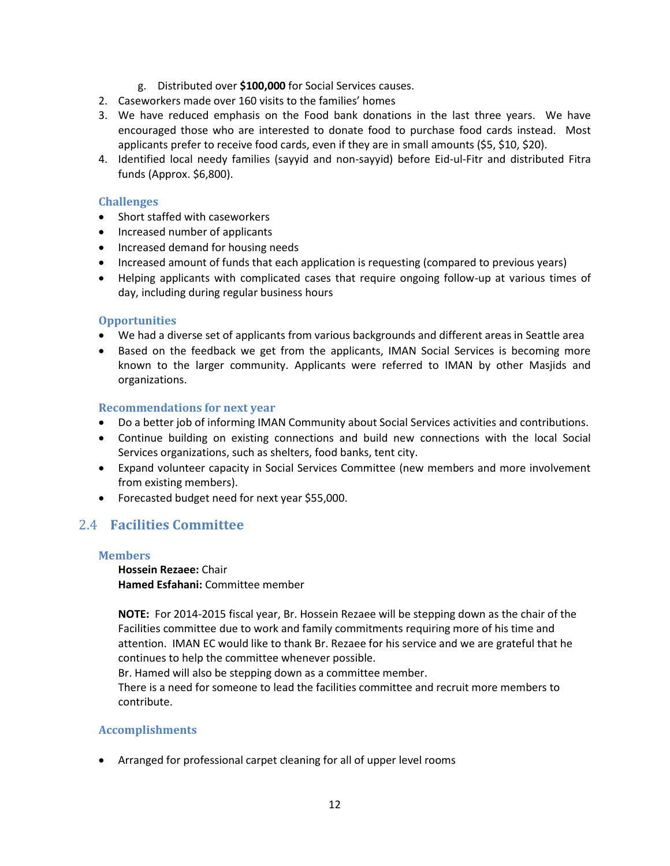- g. Distributed over **\$100,000** for Social Services causes.
- 2. Caseworkers made over 160 visits to the families' homes
- 3. We have reduced emphasis on the Food bank donations in the last three years. We have encouraged those who are interested to donate food to purchase food cards instead. Most applicants prefer to receive food cards, even if they are in small amounts (\$5, \$10, \$20).
- 4. Identified local needy families (sayyid and non-sayyid) before Eid-ul-Fitr and distributed Fitra funds (Approx. \$6,800).

- Short staffed with caseworkers
- Increased number of applicants
- Increased demand for housing needs
- Increased amount of funds that each application is requesting (compared to previous years)
- Helping applicants with complicated cases that require ongoing follow-up at various times of day, including during regular business hours

#### **Opportunities**

- We had a diverse set of applicants from various backgrounds and different areas in Seattle area
- Based on the feedback we get from the applicants, IMAN Social Services is becoming more known to the larger community. Applicants were referred to IMAN by other Masjids and organizations.

#### **Recommendations for next year**

- Do a better job of informing IMAN Community about Social Services activities and contributions.
- Continue building on existing connections and build new connections with the local Social Services organizations, such as shelters, food banks, tent city.
- Expand volunteer capacity in Social Services Committee (new members and more involvement from existing members).
- Forecasted budget need for next year \$55,000.

### <span id="page-11-0"></span>2.4 **Facilities Committee**

#### **Members**

**Hossein Rezaee:** Chair **Hamed Esfahani:** Committee member

**NOTE:** For 2014-2015 fiscal year, Br. Hossein Rezaee will be stepping down as the chair of the Facilities committee due to work and family commitments requiring more of his time and attention. IMAN EC would like to thank Br. Rezaee for his service and we are grateful that he continues to help the committee whenever possible.

Br. Hamed will also be stepping down as a committee member.

There is a need for someone to lead the facilities committee and recruit more members to contribute.

#### **Accomplishments**

Arranged for professional carpet cleaning for all of upper level rooms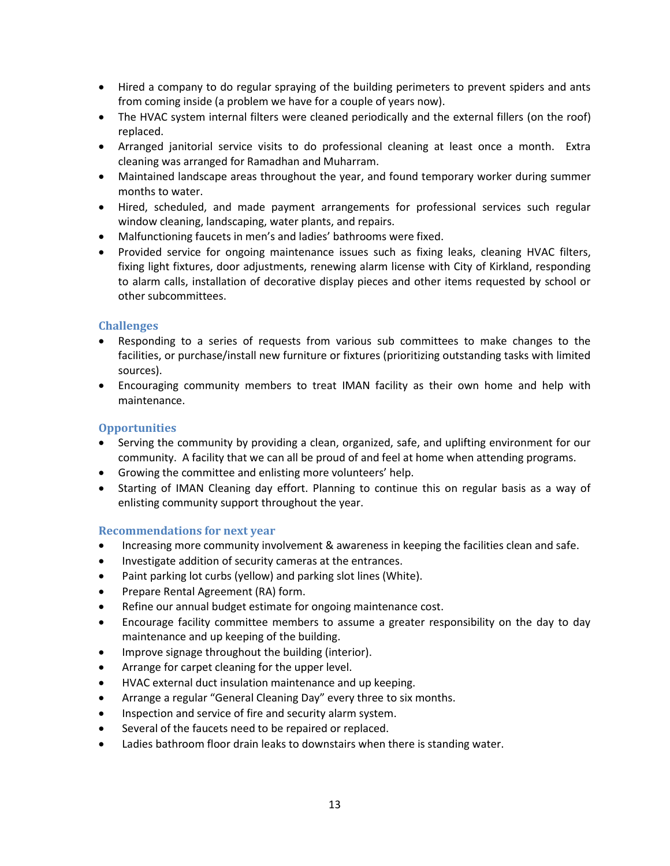- Hired a company to do regular spraying of the building perimeters to prevent spiders and ants from coming inside (a problem we have for a couple of years now).
- The HVAC system internal filters were cleaned periodically and the external fillers (on the roof) replaced.
- Arranged janitorial service visits to do professional cleaning at least once a month. Extra cleaning was arranged for Ramadhan and Muharram.
- Maintained landscape areas throughout the year, and found temporary worker during summer months to water.
- Hired, scheduled, and made payment arrangements for professional services such regular window cleaning, landscaping, water plants, and repairs.
- Malfunctioning faucets in men's and ladies' bathrooms were fixed.
- Provided service for ongoing maintenance issues such as fixing leaks, cleaning HVAC filters, fixing light fixtures, door adjustments, renewing alarm license with City of Kirkland, responding to alarm calls, installation of decorative display pieces and other items requested by school or other subcommittees.

- Responding to a series of requests from various sub committees to make changes to the facilities, or purchase/install new furniture or fixtures (prioritizing outstanding tasks with limited sources).
- Encouraging community members to treat IMAN facility as their own home and help with maintenance.

#### **Opportunities**

- Serving the community by providing a clean, organized, safe, and uplifting environment for our community. A facility that we can all be proud of and feel at home when attending programs.
- Growing the committee and enlisting more volunteers' help.
- Starting of IMAN Cleaning day effort. Planning to continue this on regular basis as a way of enlisting community support throughout the year.

#### **Recommendations for next year**

- Increasing more community involvement & awareness in keeping the facilities clean and safe.
- Investigate addition of security cameras at the entrances.
- Paint parking lot curbs (yellow) and parking slot lines (White).
- Prepare Rental Agreement (RA) form.
- Refine our annual budget estimate for ongoing maintenance cost.
- Encourage facility committee members to assume a greater responsibility on the day to day maintenance and up keeping of the building.
- Improve signage throughout the building (interior).
- Arrange for carpet cleaning for the upper level.
- HVAC external duct insulation maintenance and up keeping.
- Arrange a regular "General Cleaning Day" every three to six months.
- Inspection and service of fire and security alarm system.
- Several of the faucets need to be repaired or replaced.
- Ladies bathroom floor drain leaks to downstairs when there is standing water.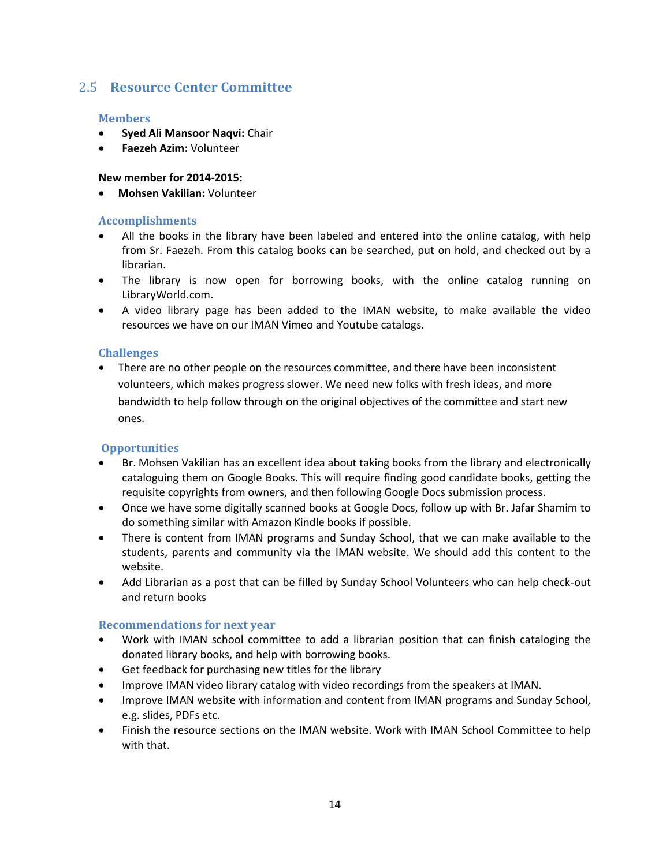# <span id="page-13-0"></span>2.5 **Resource Center Committee**

#### **Members**

- **Syed Ali Mansoor Naqvi:** Chair
- **Faezeh Azim:** Volunteer

#### **New member for 2014-2015:**

**Mohsen Vakilian:** Volunteer

#### **Accomplishments**

- All the books in the library have been labeled and entered into the online catalog, with help from Sr. Faezeh. From this catalog books can be searched, put on hold, and checked out by a librarian.
- The library is now open for borrowing books, with the online catalog running on LibraryWorld.com.
- A video library page has been added to the IMAN website, to make available the video resources we have on our IMAN Vimeo and Youtube catalogs.

#### **Challenges**

 There are no other people on the resources committee, and there have been inconsistent volunteers, which makes progress slower. We need new folks with fresh ideas, and more bandwidth to help follow through on the original objectives of the committee and start new ones.

#### **Opportunities**

- Br. Mohsen Vakilian has an excellent idea about taking books from the library and electronically cataloguing them on Google Books. This will require finding good candidate books, getting the requisite copyrights from owners, and then following Google Docs submission process.
- Once we have some digitally scanned books at Google Docs, follow up with Br. Jafar Shamim to do something similar with Amazon Kindle books if possible.
- There is content from IMAN programs and Sunday School, that we can make available to the students, parents and community via the IMAN website. We should add this content to the website.
- Add Librarian as a post that can be filled by Sunday School Volunteers who can help check-out and return books

#### **Recommendations for next year**

- Work with IMAN school committee to add a librarian position that can finish cataloging the donated library books, and help with borrowing books.
- Get feedback for purchasing new titles for the library
- Improve IMAN video library catalog with video recordings from the speakers at IMAN.
- Improve IMAN website with information and content from IMAN programs and Sunday School, e.g. slides, PDFs etc.
- Finish the resource sections on the IMAN website. Work with IMAN School Committee to help with that.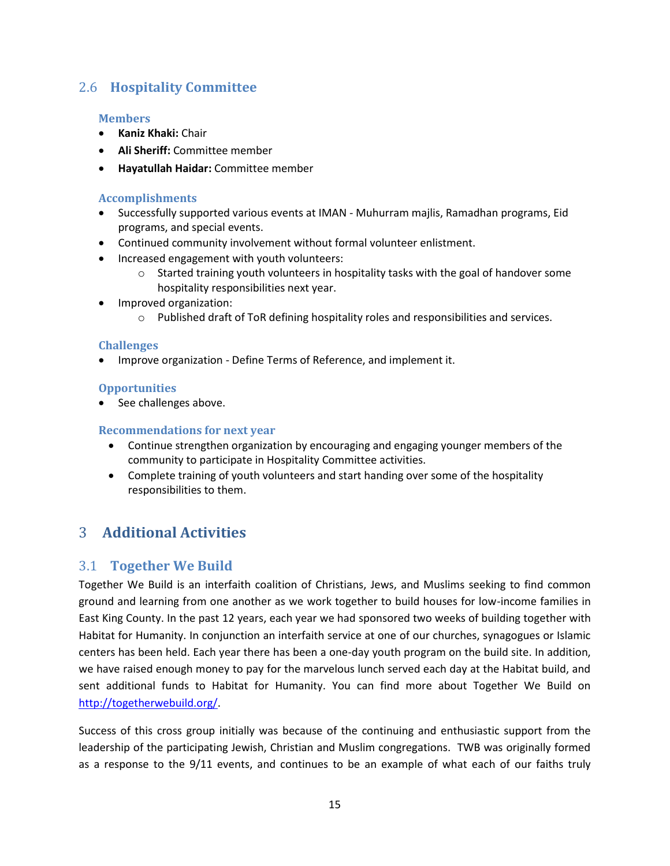# <span id="page-14-0"></span>2.6 **Hospitality Committee**

#### **Members**

- **Kaniz Khaki:** Chair
- **Ali Sheriff:** Committee member
- **Hayatullah Haidar:** Committee member

#### **Accomplishments**

- Successfully supported various events at IMAN Muhurram majlis, Ramadhan programs, Eid programs, and special events.
- Continued community involvement without formal volunteer enlistment.
- Increased engagement with youth volunteers:
	- $\circ$  Started training youth volunteers in hospitality tasks with the goal of handover some hospitality responsibilities next year.
- Improved organization:
	- o Published draft of ToR defining hospitality roles and responsibilities and services.

#### **Challenges**

Improve organization - Define Terms of Reference, and implement it.

#### **Opportunities**

• See challenges above.

#### **Recommendations for next year**

- Continue strengthen organization by encouraging and engaging younger members of the community to participate in Hospitality Committee activities.
- Complete training of youth volunteers and start handing over some of the hospitality responsibilities to them.

# <span id="page-14-1"></span>3 **Additional Activities**

### <span id="page-14-2"></span>3.1 **Together We Build**

Together We Build is an interfaith coalition of Christians, Jews, and Muslims seeking to find common ground and learning from one another as we work together to build houses for low-income families in East King County. In the past 12 years, each year we had sponsored two weeks of building together with Habitat for Humanity. In conjunction an interfaith service at one of our churches, synagogues or Islamic centers has been held. Each year there has been a one-day youth program on the build site. In addition, we have raised enough money to pay for the marvelous lunch served each day at the Habitat build, and sent additional funds to Habitat for Humanity. You can find more about Together We Build on [http://togetherwebuild.org/.](http://togetherwebuild.org/)

Success of this cross group initially was because of the continuing and enthusiastic support from the leadership of the participating Jewish, Christian and Muslim congregations. TWB was originally formed as a response to the 9/11 events, and continues to be an example of what each of our faiths truly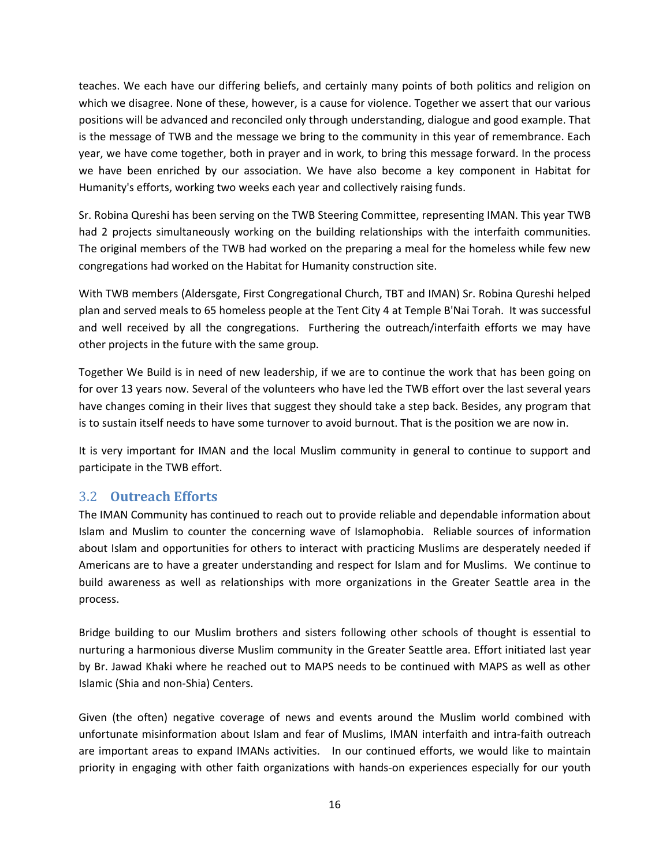teaches. We each have our differing beliefs, and certainly many points of both politics and religion on which we disagree. None of these, however, is a cause for violence. Together we assert that our various positions will be advanced and reconciled only through understanding, dialogue and good example. That is the message of TWB and the message we bring to the community in this year of remembrance. Each year, we have come together, both in prayer and in work, to bring this message forward. In the process we have been enriched by our association. We have also become a key component in Habitat for Humanity's efforts, working two weeks each year and collectively raising funds.

Sr. Robina Qureshi has been serving on the TWB Steering Committee, representing IMAN. This year TWB had 2 projects simultaneously working on the building relationships with the interfaith communities. The original members of the TWB had worked on the preparing a meal for the homeless while few new congregations had worked on the Habitat for Humanity construction site.

With TWB members (Aldersgate, First Congregational Church, TBT and IMAN) Sr. Robina Qureshi helped plan and served meals to 65 homeless people at the Tent City 4 at Temple B'Nai Torah. It was successful and well received by all the congregations. Furthering the outreach/interfaith efforts we may have other projects in the future with the same group.

Together We Build is in need of new leadership, if we are to continue the work that has been going on for over 13 years now. Several of the volunteers who have led the TWB effort over the last several years have changes coming in their lives that suggest they should take a step back. Besides, any program that is to sustain itself needs to have some turnover to avoid burnout. That is the position we are now in.

It is very important for IMAN and the local Muslim community in general to continue to support and participate in the TWB effort.

### <span id="page-15-0"></span>3.2 **Outreach Efforts**

<span id="page-15-1"></span>The IMAN Community has continued to reach out to provide reliable and dependable information about Islam and Muslim to counter the concerning wave of Islamophobia. Reliable sources of information about Islam and opportunities for others to interact with practicing Muslims are desperately needed if Americans are to have a greater understanding and respect for Islam and for Muslims. We continue to build awareness as well as relationships with more organizations in the Greater Seattle area in the process.

Bridge building to our Muslim brothers and sisters following other schools of thought is essential to nurturing a harmonious diverse Muslim community in the Greater Seattle area. Effort initiated last year by Br. Jawad Khaki where he reached out to MAPS needs to be continued with MAPS as well as other Islamic (Shia and non-Shia) Centers.

Given (the often) negative coverage of news and events around the Muslim world combined with unfortunate misinformation about Islam and fear of Muslims, IMAN interfaith and intra-faith outreach are important areas to expand IMANs activities. In our continued efforts, we would like to maintain priority in engaging with other faith organizations with hands-on experiences especially for our youth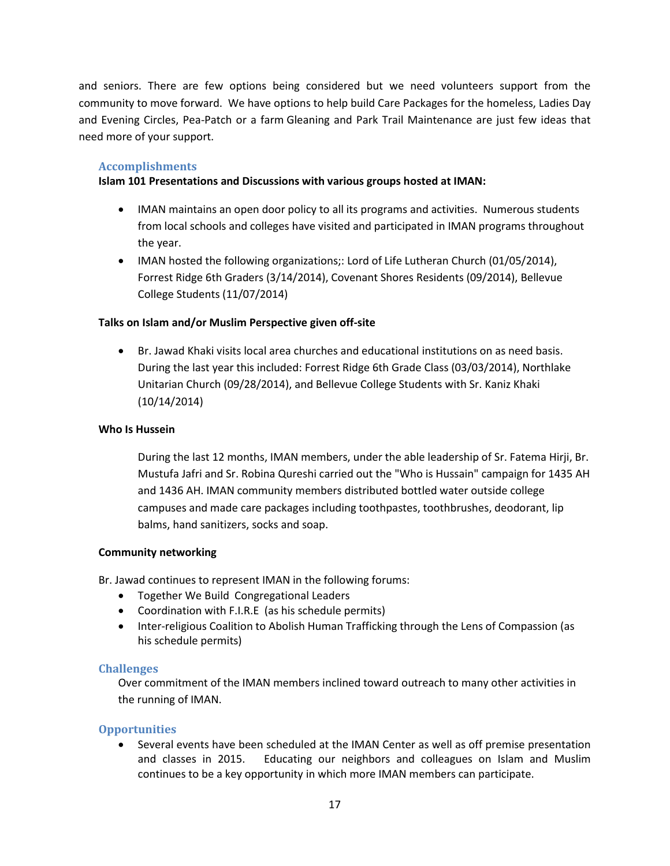and seniors. There are few options being considered but we need volunteers support from the community to move forward. We have options to help build Care Packages for the homeless, Ladies Day and Evening Circles, Pea-Patch or a farm Gleaning and Park Trail Maintenance are just few ideas that need more of your support.

#### **Accomplishments**

#### **Islam 101 Presentations and Discussions with various groups hosted at IMAN:**

- IMAN maintains an open door policy to all its programs and activities. Numerous students from local schools and colleges have visited and participated in IMAN programs throughout the year.
- IMAN hosted the following organizations;: Lord of Life Lutheran Church (01/05/2014), Forrest Ridge 6th Graders (3/14/2014), Covenant Shores Residents (09/2014), Bellevue College Students (11/07/2014)

#### **Talks on Islam and/or Muslim Perspective given off-site**

 Br. Jawad Khaki visits local area churches and educational institutions on as need basis. During the last year this included: Forrest Ridge 6th Grade Class (03/03/2014), Northlake Unitarian Church (09/28/2014), and Bellevue College Students with Sr. Kaniz Khaki (10/14/2014)

#### **Who Is Hussein**

During the last 12 months, IMAN members, under the able leadership of Sr. Fatema Hirji, Br. Mustufa Jafri and Sr. Robina Qureshi carried out the "Who is Hussain" campaign for 1435 AH and 1436 AH. IMAN community members distributed bottled water outside college campuses and made care packages including toothpastes, toothbrushes, deodorant, lip balms, hand sanitizers, socks and soap.

#### **Community networking**

Br. Jawad continues to represent IMAN in the following forums:

- Together We Build Congregational Leaders
- Coordination with F.I.R.E (as his schedule permits)
- Inter-religious Coalition to Abolish Human Trafficking through the Lens of Compassion (as his schedule permits)

#### **Challenges**

Over commitment of the IMAN members inclined toward outreach to many other activities in the running of IMAN.

#### **Opportunities**

 Several events have been scheduled at the IMAN Center as well as off premise presentation and classes in 2015. Educating our neighbors and colleagues on Islam and Muslim continues to be a key opportunity in which more IMAN members can participate.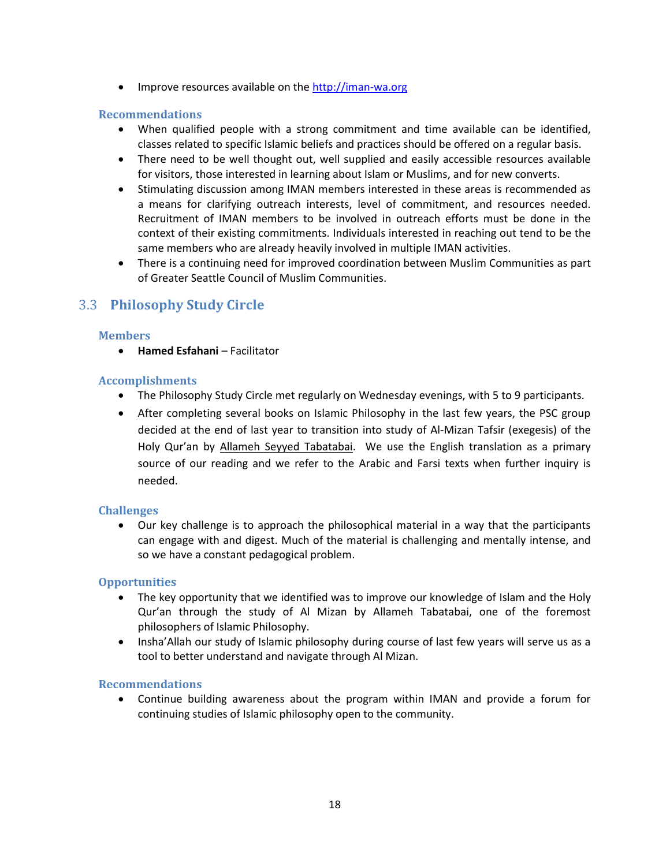• Improve resources available on th[e http://iman-wa.org](http://iman-wa.org/)

#### **Recommendations**

- When qualified people with a strong commitment and time available can be identified, classes related to specific Islamic beliefs and practices should be offered on a regular basis.
- There need to be well thought out, well supplied and easily accessible resources available for visitors, those interested in learning about Islam or Muslims, and for new converts.
- Stimulating discussion among IMAN members interested in these areas is recommended as a means for clarifying outreach interests, level of commitment, and resources needed. Recruitment of IMAN members to be involved in outreach efforts must be done in the context of their existing commitments. Individuals interested in reaching out tend to be the same members who are already heavily involved in multiple IMAN activities.
- There is a continuing need for improved coordination between Muslim Communities as part of Greater Seattle Council of Muslim Communities.

## 3.3 **Philosophy Study Circle**

#### **Members**

**• Hamed Esfahani – Facilitator** 

#### **Accomplishments**

- The Philosophy Study Circle met regularly on Wednesday evenings, with 5 to 9 participants.
- After completing several books on Islamic Philosophy in the last few years, the PSC group decided at the end of last year to transition into study of Al-Mizan Tafsir (exegesis) of the Holy Qur'an by Allameh Seyyed Tabatabai. We use the English translation as a primary source of our reading and we refer to the Arabic and Farsi texts when further inquiry is needed.

#### **Challenges**

 Our key challenge is to approach the philosophical material in a way that the participants can engage with and digest. Much of the material is challenging and mentally intense, and so we have a constant pedagogical problem.

#### **Opportunities**

- The key opportunity that we identified was to improve our knowledge of Islam and the Holy Qur'an through the study of Al Mizan by Allameh Tabatabai, one of the foremost philosophers of Islamic Philosophy.
- Insha'Allah our study of Islamic philosophy during course of last few years will serve us as a tool to better understand and navigate through Al Mizan.

#### **Recommendations**

 Continue building awareness about the program within IMAN and provide a forum for continuing studies of Islamic philosophy open to the community.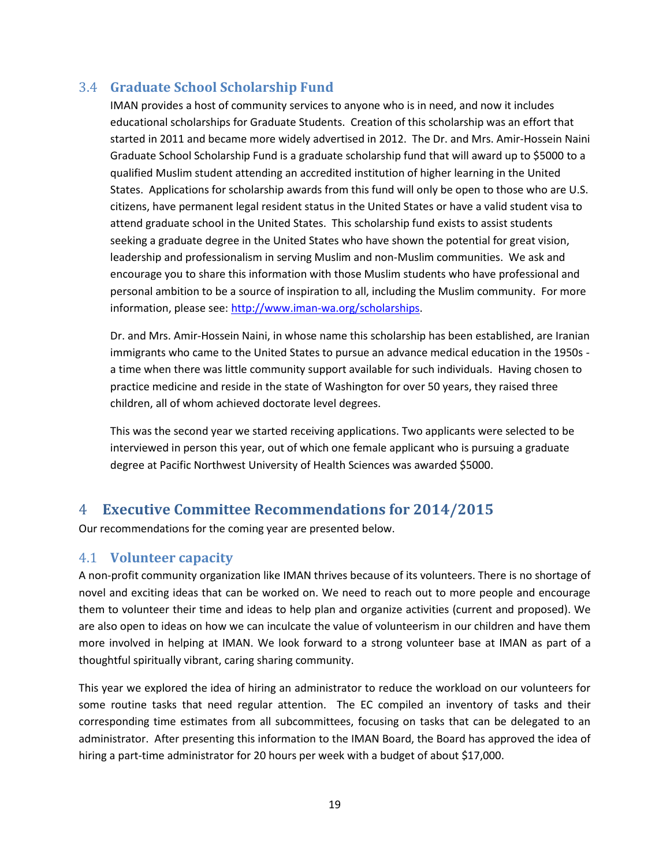# <span id="page-18-0"></span>3.4 **Graduate School Scholarship Fund**

IMAN provides a host of community services to anyone who is in need, and now it includes educational scholarships for Graduate Students. Creation of this scholarship was an effort that started in 2011 and became more widely advertised in 2012. The Dr. and Mrs. Amir-Hossein Naini Graduate School Scholarship Fund is a graduate scholarship fund that will award up to \$5000 to a qualified Muslim student attending an accredited institution of higher learning in the United States. Applications for scholarship awards from this fund will only be open to those who are U.S. citizens, have permanent legal resident status in the United States or have a valid student visa to attend graduate school in the United States. This scholarship fund exists to assist students seeking a graduate degree in the United States who have shown the potential for great vision, leadership and professionalism in serving Muslim and non-Muslim communities. We ask and encourage you to share this information with those Muslim students who have professional and personal ambition to be a source of inspiration to all, including the Muslim community. For more information, please see: [http://www.iman-wa.org/scholarships.](http://www.iman-wa.org/scholarships)

Dr. and Mrs. Amir-Hossein Naini, in whose name this scholarship has been established, are Iranian immigrants who came to the United States to pursue an advance medical education in the 1950s a time when there was little community support available for such individuals. Having chosen to practice medicine and reside in the state of Washington for over 50 years, they raised three children, all of whom achieved doctorate level degrees.

This was the second year we started receiving applications. Two applicants were selected to be interviewed in person this year, out of which one female applicant who is pursuing a graduate degree at Pacific Northwest University of Health Sciences was awarded \$5000.

# <span id="page-18-1"></span>4 **Executive Committee Recommendations for 2014/2015**

Our recommendations for the coming year are presented below.

## <span id="page-18-2"></span>4.1 **Volunteer capacity**

A non-profit community organization like IMAN thrives because of its volunteers. There is no shortage of novel and exciting ideas that can be worked on. We need to reach out to more people and encourage them to volunteer their time and ideas to help plan and organize activities (current and proposed). We are also open to ideas on how we can inculcate the value of volunteerism in our children and have them more involved in helping at IMAN. We look forward to a strong volunteer base at IMAN as part of a thoughtful spiritually vibrant, caring sharing community.

This year we explored the idea of hiring an administrator to reduce the workload on our volunteers for some routine tasks that need regular attention. The EC compiled an inventory of tasks and their corresponding time estimates from all subcommittees, focusing on tasks that can be delegated to an administrator. After presenting this information to the IMAN Board, the Board has approved the idea of hiring a part-time administrator for 20 hours per week with a budget of about \$17,000.